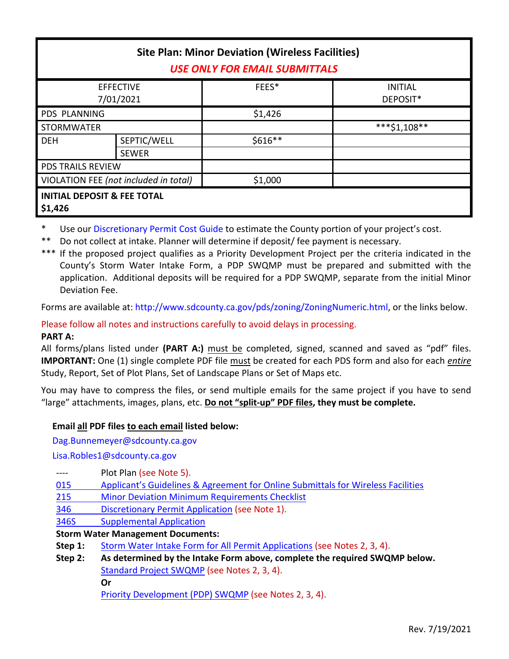| <b>Site Plan: Minor Deviation (Wireless Facilities)</b><br><b>USE ONLY FOR EMAIL SUBMITTALS</b> |                             |         |                            |  |
|-------------------------------------------------------------------------------------------------|-----------------------------|---------|----------------------------|--|
| <b>EFFECTIVE</b><br>7/01/2021                                                                   |                             | FEES*   | <b>INITIAL</b><br>DEPOSIT* |  |
| <b>PDS PLANNING</b>                                                                             |                             | \$1,426 |                            |  |
| <b>STORMWATER</b>                                                                               |                             |         | ***\$1,108**               |  |
| <b>DEH</b>                                                                                      | SEPTIC/WELL<br><b>SEWER</b> | \$616** |                            |  |
| <b>PDS TRAILS REVIEW</b>                                                                        |                             |         |                            |  |
| VIOLATION FEE (not included in total)                                                           |                             | \$1,000 |                            |  |
| <b>INITIAL DEPOSIT &amp; FEE TOTAL</b><br>\$1,426                                               |                             |         |                            |  |

Use our [Discretionary Permit Cost Guide](http://www.sandiegocounty.gov/content/dam/sdc/pds/docs/Discretionary_Permit_Cost_Guide.xlsx) to estimate the County portion of your project's cost.

Do not collect at intake. Planner will determine if deposit/ fee payment is necessary.

\*\*\* If the proposed project qualifies as a Priority Development Project per the criteria indicated in the County's Storm Water Intake Form, a PDP SWQMP must be prepared and submitted with the application. Additional deposits will be required for a PDP SWQMP, separate from the initial Minor Deviation Fee.

Forms are available at[: http://www.sdcounty.ca.gov/pds/zoning/ZoningNumeric.html,](http://www.sdcounty.ca.gov/pds/zoning/ZoningNumeric.html) or the links below.

Please follow all notes and instructions carefully to avoid delays in processing.

## **PART A:**

All forms/plans listed under **(PART A:)** must be completed, signed, scanned and saved as "pdf" files. **IMPORTANT:** One (1) single complete PDF file must be created for each PDS form and also for each *entire* Study, Report, Set of Plot Plans, Set of Landscape Plans or Set of Maps etc.

You may have to compress the files, or send multiple emails for the same project if you have to send "large" attachments, images, plans, etc. **Do not "split-up" PDF files, they must be complete.**

# **Email all PDF files to each email listed below:**

[Dag.Bunnemeyer@sdcounty.ca.gov](mailto:Dag.Bunnemeyer@sdcounty.ca.gov)

[Lisa.Robles1@sdcounty.ca.gov](mailto:Lisa.Robles1@sdcounty.ca.gov)

- ---- Plot Plan (see Note 5).
- 015 [Applicant's Guidelines & Agreement for On](http://www.sdcounty.ca.gov/pds/zoning/formfields/PDS-PLN-015.pdf)line Submittals for Wireless Facilities
- 215 [Minor Deviation Minimum Requirements Checklist](http://www.sdcounty.ca.gov/pds/zoning/formfields/PDS-PLN-215.pdf)
- 346 [Discretionary Permit Application](http://www.sdcounty.ca.gov/pds/zoning/formfields/PDS-PLN-346.pdf) (see Note 1).
- [346S Supplemental Application](http://www.sdcounty.ca.gov/pds/zoning/formfields/PDS-PLN-346S.pdf)

**Storm Water Management Documents:**

- **Step 1:** [Storm Water Intake Form for All Permit Applications](http://www.sandiegocounty.gov/content/dam/sdc/pds/zoning/formfields/SWQMP-Intake-Form.pdf) (see Notes 2, 3, 4).
- **Step 2: As determined by the Intake Form above, complete the required SWQMP below.** [Standard Project SWQMP](http://www.sandiegocounty.gov/content/dam/sdc/pds/zoning/formfields/SWQMP-Standard.pdf) (see Notes 2, 3, 4). **Or**

[Priority Development \(PDP\) SWQMP](https://www.sandiegocounty.gov/content/sdc/dpw/watersheds/DevelopmentandConstruction/BMP_Design_Manual.html) (see Notes 2, 3, 4).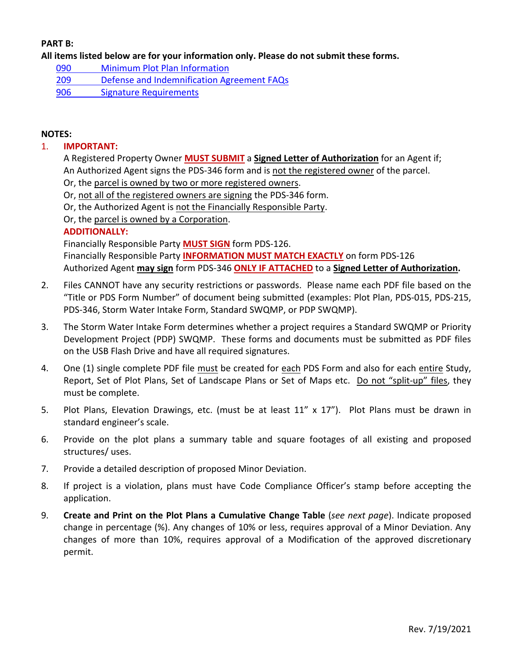## **PART B:**

**All items listed below are for your information only. Please do not submit these forms.**

- 090 [Minimum Plot Plan Information](http://www.sdcounty.ca.gov/pds/docs/pds090.pdf)
- 209 [Defense and Indemnification Agreement FAQs](http://www.sdcounty.ca.gov/pds/zoning/formfields/PDS-PLN-209.pdf)
- [906 Signature Requirements](http://www.sdcounty.ca.gov/pds/zoning/formfields/PDS-PLN-906.pdf)

#### **NOTES:**

#### 1. **IMPORTANT:**

A Registered Property Owner **MUST SUBMIT** a **Signed Letter of Authorization** for an Agent if; An Authorized Agent signs the PDS-346 form and is not the registered owner of the parcel.

- Or, the parcel is owned by two or more registered owners.
- Or, not all of the registered owners are signing the PDS-346 form.
- Or, the Authorized Agent is not the Financially Responsible Party.
- Or, the parcel is owned by a Corporation.

#### **ADDITIONALLY:**

Financially Responsible Party **MUST SIGN** form PDS-126. Financially Responsible Party **INFORMATION MUST MATCH EXACTLY** on form PDS-126 Authorized Agent **may sign** form PDS-346 **ONLY IF ATTACHED** to a **Signed Letter of Authorization.**

- 2. Files CANNOT have any security restrictions or passwords. Please name each PDF file based on the "Title or PDS Form Number" of document being submitted (examples: Plot Plan, PDS-015, PDS-215, PDS-346, Storm Water Intake Form, Standard SWQMP, or PDP SWQMP).
- 3. The Storm Water Intake Form determines whether a project requires a Standard SWQMP or Priority Development Project (PDP) SWQMP. These forms and documents must be submitted as PDF files on the USB Flash Drive and have all required signatures.
- 4. One (1) single complete PDF file must be created for each PDS Form and also for each entire Study, Report, Set of Plot Plans, Set of Landscape Plans or Set of Maps etc. Do not "split-up" files, they must be complete.
- 5. Plot Plans, Elevation Drawings, etc. (must be at least 11" x 17"). Plot Plans must be drawn in standard engineer's scale.
- 6. Provide on the plot plans a summary table and square footages of all existing and proposed structures/ uses.
- 7. Provide a detailed description of proposed Minor Deviation.
- 8. If project is a violation, plans must have Code Compliance Officer's stamp before accepting the application.
- 9. **Create and Print on the Plot Plans a Cumulative Change Table** (*see next page*). Indicate proposed change in percentage (%). Any changes of 10% or less, requires approval of a Minor Deviation. Any changes of more than 10%, requires approval of a Modification of the approved discretionary permit.